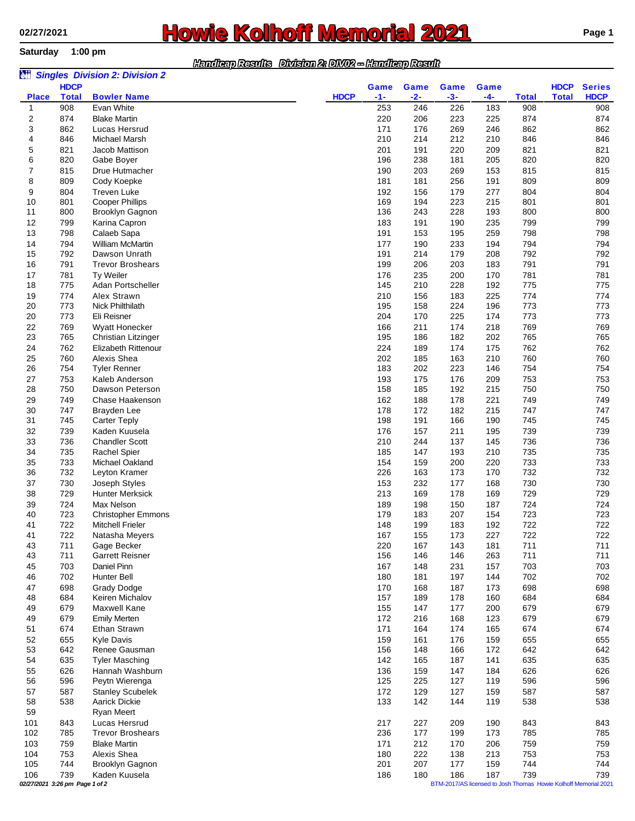**Saturday 1:00 pm**

## **Rowie Kolhoff Memorial 2021 Page 1**

## *Handicap Results Division 2: DIV02 -- Handicap Result*

| Game<br><b>HDCP</b><br>$-1-$<br>$-2-$<br>$-3-$<br>$-4-$<br><b>Total</b><br><b>Total</b><br><b>HDCP</b><br><b>Place</b><br><b>Total</b><br><b>Bowler Name</b><br>908<br>Evan White<br>253<br>246<br>183<br>226<br>908<br>908<br>1<br>2<br>874<br><b>Blake Martin</b><br>220<br>206<br>223<br>225<br>874<br>874<br>3<br>862<br>171<br>269<br>862<br>862<br>Lucas Hersrud<br>176<br>246<br>210<br>212<br>846<br>4<br>846<br>Michael Marsh<br>214<br>210<br>846<br>5<br>201<br>821<br>821<br>Jacob Mattison<br>191<br>220<br>209<br>821<br>6<br>820<br>820<br>820<br>Gabe Boyer<br>196<br>238<br>181<br>205<br>7<br>190<br>269<br>815<br>815<br>815<br>Drue Hutmacher<br>203<br>153<br>8<br>809<br>809<br>181<br>181<br>256<br>191<br>809<br>Cody Koepke<br>9<br><b>Treven Luke</b><br>179<br>277<br>804<br>804<br>804<br>192<br>156<br><b>Cooper Phillips</b><br>169<br>223<br>801<br>801<br>10<br>801<br>194<br>215<br>11<br>136<br>228<br>800<br>800<br>800<br>Brooklyn Gagnon<br>243<br>193<br>183<br>799<br>799<br>12<br>799<br>Karina Capron<br>191<br>190<br>235<br>13<br>798<br>191<br>259<br>798<br>798<br>Calaeb Sapa<br>153<br>195<br>14<br>794<br><b>William McMartin</b><br>233<br>794<br>794<br>177<br>190<br>194<br>Dawson Unrath<br>191<br>179<br>792<br>792<br>15<br>792<br>214<br>208<br>199<br>203<br>791<br>791<br>16<br>791<br><b>Trevor Broshears</b><br>206<br>183<br>17<br>781<br>781<br>781<br>Ty Weiler<br>176<br>235<br>200<br>170<br>775<br>Adan Portscheller<br>145<br>775<br>775<br>18<br>210<br>228<br>192<br>19<br>774<br>Alex Strawn<br>210<br>225<br>774<br>774<br>156<br>183<br>Nick Philthilath<br>773<br>20<br>773<br>195<br>158<br>224<br>196<br>773<br>773<br>204<br>773<br>773<br>20<br>Eli Reisner<br>170<br>225<br>174<br>174<br>769<br>769<br>22<br>769<br>Wyatt Honecker<br>166<br>211<br>218<br>23<br>765<br>Christian Litzinger<br>195<br>186<br>182<br>202<br>765<br>765<br>24<br>762<br><b>Elizabeth Rittenour</b><br>224<br>174<br>175<br>762<br>762<br>189<br>Alexis Shea<br>202<br>25<br>760<br>185<br>163<br>210<br>760<br>760<br>754<br>754<br>26<br>754<br><b>Tyler Renner</b><br>183<br>202<br>223<br>146<br>753<br>193<br>176<br>753<br>753<br>27<br>Kaleb Anderson<br>175<br>209<br>750<br>28<br>750<br>Dawson Peterson<br>158<br>185<br>192<br>215<br>750<br>178<br>749<br>749<br>29<br>749<br>Chase Haakenson<br>162<br>188<br>221<br>178<br>182<br>747<br>30<br>747<br>Brayden Lee<br>172<br>215<br>747<br>166<br>31<br>745<br>198<br>191<br>190<br>745<br>745<br><b>Carter Teply</b><br>739<br>Kaden Kuusela<br>739<br>739<br>32<br>176<br>157<br>211<br>195<br>736<br><b>Chandler Scott</b><br>736<br>33<br>210<br>244<br>137<br>145<br>736<br>34<br>735<br>185<br>193<br>735<br>735<br><b>Rachel Spier</b><br>147<br>210<br>733<br>733<br>733<br>35<br>Michael Oakland<br>154<br>159<br>200<br>220<br>732<br>226<br>732<br>732<br>36<br>Leyton Kramer<br>163<br>173<br>170<br>37<br>730<br>153<br>232<br>177<br>730<br>730<br>Joseph Styles<br>168<br>213<br>729<br>729<br>38<br>729<br><b>Hunter Merksick</b><br>169<br>178<br>169<br>724<br>724<br>724<br>39<br>Max Nelson<br>189<br>150<br>187<br>198<br>723<br>723<br>40<br>179<br>183<br>207<br>154<br>723<br><b>Christopher Emmons</b><br>722<br>722<br>722<br><b>Mitchell Frieler</b><br>148<br>199<br>183<br>192<br>41<br>41<br>722<br>Natasha Meyers<br>167<br>155<br>173<br>227<br>722<br>722<br>43<br>711<br>Gage Becker<br>220<br>167<br>143<br>181<br>711<br>711<br><b>Garrett Reisner</b><br>711<br>711<br>43<br>711<br>156<br>146<br>146<br>263<br>703<br>Daniel Pinn<br>167<br>703<br>45<br>231<br>157<br>703<br>148<br>702<br>Hunter Bell<br>702<br>702<br>46<br>180<br>181<br>197<br>144<br>698<br>Grady Dodge<br>170<br>187<br>698<br>698<br>47<br>168<br>173<br>684<br>Keiren Michalov<br>157<br>178<br>684<br>684<br>48<br>189<br>160<br>679<br>679<br>49<br>679<br>Maxwell Kane<br>155<br>147<br>177<br>200<br>679<br><b>Emily Merten</b><br>172<br>679<br>679<br>49<br>216<br>168<br>123<br>51<br>674<br>Ethan Strawn<br>171<br>164<br>174<br>674<br>674<br>165<br><b>Kyle Davis</b><br>159<br>176<br>655<br>52<br>655<br>161<br>159<br>655<br>642<br>642<br>53<br>642<br>Renee Gausman<br>156<br>148<br>166<br>172<br>635<br>54<br>635<br>142<br>187<br>141<br>635<br><b>Tyler Masching</b><br>165<br>55<br>Hannah Washburn<br>626<br>626<br>626<br>136<br>159<br>147<br>184<br>596<br>596<br>56<br>596<br>Peytn Wierenga<br>125<br>225<br>127<br>119<br>172<br>129<br>587<br>57<br>587<br><b>Stanley Scubelek</b><br>127<br>159<br>587<br>Aarick Dickie<br>133<br>538<br>58<br>538<br>142<br>144<br>119<br>538<br>59<br>Ryan Meert<br>227<br>101<br>843<br>Lucas Hersrud<br>217<br>209<br>190<br>843<br>843<br><b>Trevor Broshears</b><br>236<br>785<br>785<br>102<br>785<br>177<br>199<br>173<br>759<br>103<br>759<br><b>Blake Martin</b><br>171<br>212<br>170<br>206<br>759<br>Alexis Shea<br>222<br>753<br>104<br>753<br>180<br>138<br>213<br>753<br>201<br>177<br>744<br>744<br>105<br>744<br>Brooklyn Gagnon<br>207<br>159<br>739<br>739<br>186<br>187<br>739<br>106<br>Kaden Kuusela<br>186<br>180<br>02/27/2021 3:26 pm Page 1 of 2<br>BTM-2017/AS licensed to Josh Thomas Howie Kolhoff Memorial 2021 | òü |             | <b>Singles Division 2: Division 2</b> |  |      |      |             |             |               |
|---------------------------------------------------------------------------------------------------------------------------------------------------------------------------------------------------------------------------------------------------------------------------------------------------------------------------------------------------------------------------------------------------------------------------------------------------------------------------------------------------------------------------------------------------------------------------------------------------------------------------------------------------------------------------------------------------------------------------------------------------------------------------------------------------------------------------------------------------------------------------------------------------------------------------------------------------------------------------------------------------------------------------------------------------------------------------------------------------------------------------------------------------------------------------------------------------------------------------------------------------------------------------------------------------------------------------------------------------------------------------------------------------------------------------------------------------------------------------------------------------------------------------------------------------------------------------------------------------------------------------------------------------------------------------------------------------------------------------------------------------------------------------------------------------------------------------------------------------------------------------------------------------------------------------------------------------------------------------------------------------------------------------------------------------------------------------------------------------------------------------------------------------------------------------------------------------------------------------------------------------------------------------------------------------------------------------------------------------------------------------------------------------------------------------------------------------------------------------------------------------------------------------------------------------------------------------------------------------------------------------------------------------------------------------------------------------------------------------------------------------------------------------------------------------------------------------------------------------------------------------------------------------------------------------------------------------------------------------------------------------------------------------------------------------------------------------------------------------------------------------------------------------------------------------------------------------------------------------------------------------------------------------------------------------------------------------------------------------------------------------------------------------------------------------------------------------------------------------------------------------------------------------------------------------------------------------------------------------------------------------------------------------------------------------------------------------------------------------------------------------------------------------------------------------------------------------------------------------------------------------------------------------------------------------------------------------------------------------------------------------------------------------------------------------------------------------------------------------------------------------------------------------------------------------------------------------------------------------------------------------------------------------------------------------------------------------------------------------------------------------------------------------------------------------------------------------------------------------------------------------------------------------------------------------------------------------------------------------------------------------------------------------------------------------------------------------------------------------------------------------------------------------------------------------------------------------------------------------------------------------------------------------------------------------------------------------------------------------------------------------------------------------------------------------------------------------------------------------------------------------------------------------------------------------------------------------------------------------------------------------|----|-------------|---------------------------------------|--|------|------|-------------|-------------|---------------|
|                                                                                                                                                                                                                                                                                                                                                                                                                                                                                                                                                                                                                                                                                                                                                                                                                                                                                                                                                                                                                                                                                                                                                                                                                                                                                                                                                                                                                                                                                                                                                                                                                                                                                                                                                                                                                                                                                                                                                                                                                                                                                                                                                                                                                                                                                                                                                                                                                                                                                                                                                                                                                                                                                                                                                                                                                                                                                                                                                                                                                                                                                                                                                                                                                                                                                                                                                                                                                                                                                                                                                                                                                                                                                                                                                                                                                                                                                                                                                                                                                                                                                                                                                                                                                                                                                                                                                                                                                                                                                                                                                                                                                                                                                                                                                                                                                                                                                                                                                                                                                                                                                                                                                                                                                                                   |    | <b>HDCP</b> |                                       |  | Game | Game | <b>Game</b> | <b>HDCP</b> | <b>Series</b> |
|                                                                                                                                                                                                                                                                                                                                                                                                                                                                                                                                                                                                                                                                                                                                                                                                                                                                                                                                                                                                                                                                                                                                                                                                                                                                                                                                                                                                                                                                                                                                                                                                                                                                                                                                                                                                                                                                                                                                                                                                                                                                                                                                                                                                                                                                                                                                                                                                                                                                                                                                                                                                                                                                                                                                                                                                                                                                                                                                                                                                                                                                                                                                                                                                                                                                                                                                                                                                                                                                                                                                                                                                                                                                                                                                                                                                                                                                                                                                                                                                                                                                                                                                                                                                                                                                                                                                                                                                                                                                                                                                                                                                                                                                                                                                                                                                                                                                                                                                                                                                                                                                                                                                                                                                                                                   |    |             |                                       |  |      |      |             |             |               |
|                                                                                                                                                                                                                                                                                                                                                                                                                                                                                                                                                                                                                                                                                                                                                                                                                                                                                                                                                                                                                                                                                                                                                                                                                                                                                                                                                                                                                                                                                                                                                                                                                                                                                                                                                                                                                                                                                                                                                                                                                                                                                                                                                                                                                                                                                                                                                                                                                                                                                                                                                                                                                                                                                                                                                                                                                                                                                                                                                                                                                                                                                                                                                                                                                                                                                                                                                                                                                                                                                                                                                                                                                                                                                                                                                                                                                                                                                                                                                                                                                                                                                                                                                                                                                                                                                                                                                                                                                                                                                                                                                                                                                                                                                                                                                                                                                                                                                                                                                                                                                                                                                                                                                                                                                                                   |    |             |                                       |  |      |      |             |             |               |
|                                                                                                                                                                                                                                                                                                                                                                                                                                                                                                                                                                                                                                                                                                                                                                                                                                                                                                                                                                                                                                                                                                                                                                                                                                                                                                                                                                                                                                                                                                                                                                                                                                                                                                                                                                                                                                                                                                                                                                                                                                                                                                                                                                                                                                                                                                                                                                                                                                                                                                                                                                                                                                                                                                                                                                                                                                                                                                                                                                                                                                                                                                                                                                                                                                                                                                                                                                                                                                                                                                                                                                                                                                                                                                                                                                                                                                                                                                                                                                                                                                                                                                                                                                                                                                                                                                                                                                                                                                                                                                                                                                                                                                                                                                                                                                                                                                                                                                                                                                                                                                                                                                                                                                                                                                                   |    |             |                                       |  |      |      |             |             |               |
|                                                                                                                                                                                                                                                                                                                                                                                                                                                                                                                                                                                                                                                                                                                                                                                                                                                                                                                                                                                                                                                                                                                                                                                                                                                                                                                                                                                                                                                                                                                                                                                                                                                                                                                                                                                                                                                                                                                                                                                                                                                                                                                                                                                                                                                                                                                                                                                                                                                                                                                                                                                                                                                                                                                                                                                                                                                                                                                                                                                                                                                                                                                                                                                                                                                                                                                                                                                                                                                                                                                                                                                                                                                                                                                                                                                                                                                                                                                                                                                                                                                                                                                                                                                                                                                                                                                                                                                                                                                                                                                                                                                                                                                                                                                                                                                                                                                                                                                                                                                                                                                                                                                                                                                                                                                   |    |             |                                       |  |      |      |             |             |               |
|                                                                                                                                                                                                                                                                                                                                                                                                                                                                                                                                                                                                                                                                                                                                                                                                                                                                                                                                                                                                                                                                                                                                                                                                                                                                                                                                                                                                                                                                                                                                                                                                                                                                                                                                                                                                                                                                                                                                                                                                                                                                                                                                                                                                                                                                                                                                                                                                                                                                                                                                                                                                                                                                                                                                                                                                                                                                                                                                                                                                                                                                                                                                                                                                                                                                                                                                                                                                                                                                                                                                                                                                                                                                                                                                                                                                                                                                                                                                                                                                                                                                                                                                                                                                                                                                                                                                                                                                                                                                                                                                                                                                                                                                                                                                                                                                                                                                                                                                                                                                                                                                                                                                                                                                                                                   |    |             |                                       |  |      |      |             |             |               |
|                                                                                                                                                                                                                                                                                                                                                                                                                                                                                                                                                                                                                                                                                                                                                                                                                                                                                                                                                                                                                                                                                                                                                                                                                                                                                                                                                                                                                                                                                                                                                                                                                                                                                                                                                                                                                                                                                                                                                                                                                                                                                                                                                                                                                                                                                                                                                                                                                                                                                                                                                                                                                                                                                                                                                                                                                                                                                                                                                                                                                                                                                                                                                                                                                                                                                                                                                                                                                                                                                                                                                                                                                                                                                                                                                                                                                                                                                                                                                                                                                                                                                                                                                                                                                                                                                                                                                                                                                                                                                                                                                                                                                                                                                                                                                                                                                                                                                                                                                                                                                                                                                                                                                                                                                                                   |    |             |                                       |  |      |      |             |             |               |
|                                                                                                                                                                                                                                                                                                                                                                                                                                                                                                                                                                                                                                                                                                                                                                                                                                                                                                                                                                                                                                                                                                                                                                                                                                                                                                                                                                                                                                                                                                                                                                                                                                                                                                                                                                                                                                                                                                                                                                                                                                                                                                                                                                                                                                                                                                                                                                                                                                                                                                                                                                                                                                                                                                                                                                                                                                                                                                                                                                                                                                                                                                                                                                                                                                                                                                                                                                                                                                                                                                                                                                                                                                                                                                                                                                                                                                                                                                                                                                                                                                                                                                                                                                                                                                                                                                                                                                                                                                                                                                                                                                                                                                                                                                                                                                                                                                                                                                                                                                                                                                                                                                                                                                                                                                                   |    |             |                                       |  |      |      |             |             |               |
|                                                                                                                                                                                                                                                                                                                                                                                                                                                                                                                                                                                                                                                                                                                                                                                                                                                                                                                                                                                                                                                                                                                                                                                                                                                                                                                                                                                                                                                                                                                                                                                                                                                                                                                                                                                                                                                                                                                                                                                                                                                                                                                                                                                                                                                                                                                                                                                                                                                                                                                                                                                                                                                                                                                                                                                                                                                                                                                                                                                                                                                                                                                                                                                                                                                                                                                                                                                                                                                                                                                                                                                                                                                                                                                                                                                                                                                                                                                                                                                                                                                                                                                                                                                                                                                                                                                                                                                                                                                                                                                                                                                                                                                                                                                                                                                                                                                                                                                                                                                                                                                                                                                                                                                                                                                   |    |             |                                       |  |      |      |             |             |               |
|                                                                                                                                                                                                                                                                                                                                                                                                                                                                                                                                                                                                                                                                                                                                                                                                                                                                                                                                                                                                                                                                                                                                                                                                                                                                                                                                                                                                                                                                                                                                                                                                                                                                                                                                                                                                                                                                                                                                                                                                                                                                                                                                                                                                                                                                                                                                                                                                                                                                                                                                                                                                                                                                                                                                                                                                                                                                                                                                                                                                                                                                                                                                                                                                                                                                                                                                                                                                                                                                                                                                                                                                                                                                                                                                                                                                                                                                                                                                                                                                                                                                                                                                                                                                                                                                                                                                                                                                                                                                                                                                                                                                                                                                                                                                                                                                                                                                                                                                                                                                                                                                                                                                                                                                                                                   |    |             |                                       |  |      |      |             |             |               |
|                                                                                                                                                                                                                                                                                                                                                                                                                                                                                                                                                                                                                                                                                                                                                                                                                                                                                                                                                                                                                                                                                                                                                                                                                                                                                                                                                                                                                                                                                                                                                                                                                                                                                                                                                                                                                                                                                                                                                                                                                                                                                                                                                                                                                                                                                                                                                                                                                                                                                                                                                                                                                                                                                                                                                                                                                                                                                                                                                                                                                                                                                                                                                                                                                                                                                                                                                                                                                                                                                                                                                                                                                                                                                                                                                                                                                                                                                                                                                                                                                                                                                                                                                                                                                                                                                                                                                                                                                                                                                                                                                                                                                                                                                                                                                                                                                                                                                                                                                                                                                                                                                                                                                                                                                                                   |    |             |                                       |  |      |      |             |             |               |
|                                                                                                                                                                                                                                                                                                                                                                                                                                                                                                                                                                                                                                                                                                                                                                                                                                                                                                                                                                                                                                                                                                                                                                                                                                                                                                                                                                                                                                                                                                                                                                                                                                                                                                                                                                                                                                                                                                                                                                                                                                                                                                                                                                                                                                                                                                                                                                                                                                                                                                                                                                                                                                                                                                                                                                                                                                                                                                                                                                                                                                                                                                                                                                                                                                                                                                                                                                                                                                                                                                                                                                                                                                                                                                                                                                                                                                                                                                                                                                                                                                                                                                                                                                                                                                                                                                                                                                                                                                                                                                                                                                                                                                                                                                                                                                                                                                                                                                                                                                                                                                                                                                                                                                                                                                                   |    |             |                                       |  |      |      |             |             |               |
|                                                                                                                                                                                                                                                                                                                                                                                                                                                                                                                                                                                                                                                                                                                                                                                                                                                                                                                                                                                                                                                                                                                                                                                                                                                                                                                                                                                                                                                                                                                                                                                                                                                                                                                                                                                                                                                                                                                                                                                                                                                                                                                                                                                                                                                                                                                                                                                                                                                                                                                                                                                                                                                                                                                                                                                                                                                                                                                                                                                                                                                                                                                                                                                                                                                                                                                                                                                                                                                                                                                                                                                                                                                                                                                                                                                                                                                                                                                                                                                                                                                                                                                                                                                                                                                                                                                                                                                                                                                                                                                                                                                                                                                                                                                                                                                                                                                                                                                                                                                                                                                                                                                                                                                                                                                   |    |             |                                       |  |      |      |             |             |               |
|                                                                                                                                                                                                                                                                                                                                                                                                                                                                                                                                                                                                                                                                                                                                                                                                                                                                                                                                                                                                                                                                                                                                                                                                                                                                                                                                                                                                                                                                                                                                                                                                                                                                                                                                                                                                                                                                                                                                                                                                                                                                                                                                                                                                                                                                                                                                                                                                                                                                                                                                                                                                                                                                                                                                                                                                                                                                                                                                                                                                                                                                                                                                                                                                                                                                                                                                                                                                                                                                                                                                                                                                                                                                                                                                                                                                                                                                                                                                                                                                                                                                                                                                                                                                                                                                                                                                                                                                                                                                                                                                                                                                                                                                                                                                                                                                                                                                                                                                                                                                                                                                                                                                                                                                                                                   |    |             |                                       |  |      |      |             |             |               |
|                                                                                                                                                                                                                                                                                                                                                                                                                                                                                                                                                                                                                                                                                                                                                                                                                                                                                                                                                                                                                                                                                                                                                                                                                                                                                                                                                                                                                                                                                                                                                                                                                                                                                                                                                                                                                                                                                                                                                                                                                                                                                                                                                                                                                                                                                                                                                                                                                                                                                                                                                                                                                                                                                                                                                                                                                                                                                                                                                                                                                                                                                                                                                                                                                                                                                                                                                                                                                                                                                                                                                                                                                                                                                                                                                                                                                                                                                                                                                                                                                                                                                                                                                                                                                                                                                                                                                                                                                                                                                                                                                                                                                                                                                                                                                                                                                                                                                                                                                                                                                                                                                                                                                                                                                                                   |    |             |                                       |  |      |      |             |             |               |
|                                                                                                                                                                                                                                                                                                                                                                                                                                                                                                                                                                                                                                                                                                                                                                                                                                                                                                                                                                                                                                                                                                                                                                                                                                                                                                                                                                                                                                                                                                                                                                                                                                                                                                                                                                                                                                                                                                                                                                                                                                                                                                                                                                                                                                                                                                                                                                                                                                                                                                                                                                                                                                                                                                                                                                                                                                                                                                                                                                                                                                                                                                                                                                                                                                                                                                                                                                                                                                                                                                                                                                                                                                                                                                                                                                                                                                                                                                                                                                                                                                                                                                                                                                                                                                                                                                                                                                                                                                                                                                                                                                                                                                                                                                                                                                                                                                                                                                                                                                                                                                                                                                                                                                                                                                                   |    |             |                                       |  |      |      |             |             |               |
|                                                                                                                                                                                                                                                                                                                                                                                                                                                                                                                                                                                                                                                                                                                                                                                                                                                                                                                                                                                                                                                                                                                                                                                                                                                                                                                                                                                                                                                                                                                                                                                                                                                                                                                                                                                                                                                                                                                                                                                                                                                                                                                                                                                                                                                                                                                                                                                                                                                                                                                                                                                                                                                                                                                                                                                                                                                                                                                                                                                                                                                                                                                                                                                                                                                                                                                                                                                                                                                                                                                                                                                                                                                                                                                                                                                                                                                                                                                                                                                                                                                                                                                                                                                                                                                                                                                                                                                                                                                                                                                                                                                                                                                                                                                                                                                                                                                                                                                                                                                                                                                                                                                                                                                                                                                   |    |             |                                       |  |      |      |             |             |               |
|                                                                                                                                                                                                                                                                                                                                                                                                                                                                                                                                                                                                                                                                                                                                                                                                                                                                                                                                                                                                                                                                                                                                                                                                                                                                                                                                                                                                                                                                                                                                                                                                                                                                                                                                                                                                                                                                                                                                                                                                                                                                                                                                                                                                                                                                                                                                                                                                                                                                                                                                                                                                                                                                                                                                                                                                                                                                                                                                                                                                                                                                                                                                                                                                                                                                                                                                                                                                                                                                                                                                                                                                                                                                                                                                                                                                                                                                                                                                                                                                                                                                                                                                                                                                                                                                                                                                                                                                                                                                                                                                                                                                                                                                                                                                                                                                                                                                                                                                                                                                                                                                                                                                                                                                                                                   |    |             |                                       |  |      |      |             |             |               |
|                                                                                                                                                                                                                                                                                                                                                                                                                                                                                                                                                                                                                                                                                                                                                                                                                                                                                                                                                                                                                                                                                                                                                                                                                                                                                                                                                                                                                                                                                                                                                                                                                                                                                                                                                                                                                                                                                                                                                                                                                                                                                                                                                                                                                                                                                                                                                                                                                                                                                                                                                                                                                                                                                                                                                                                                                                                                                                                                                                                                                                                                                                                                                                                                                                                                                                                                                                                                                                                                                                                                                                                                                                                                                                                                                                                                                                                                                                                                                                                                                                                                                                                                                                                                                                                                                                                                                                                                                                                                                                                                                                                                                                                                                                                                                                                                                                                                                                                                                                                                                                                                                                                                                                                                                                                   |    |             |                                       |  |      |      |             |             |               |
|                                                                                                                                                                                                                                                                                                                                                                                                                                                                                                                                                                                                                                                                                                                                                                                                                                                                                                                                                                                                                                                                                                                                                                                                                                                                                                                                                                                                                                                                                                                                                                                                                                                                                                                                                                                                                                                                                                                                                                                                                                                                                                                                                                                                                                                                                                                                                                                                                                                                                                                                                                                                                                                                                                                                                                                                                                                                                                                                                                                                                                                                                                                                                                                                                                                                                                                                                                                                                                                                                                                                                                                                                                                                                                                                                                                                                                                                                                                                                                                                                                                                                                                                                                                                                                                                                                                                                                                                                                                                                                                                                                                                                                                                                                                                                                                                                                                                                                                                                                                                                                                                                                                                                                                                                                                   |    |             |                                       |  |      |      |             |             |               |
|                                                                                                                                                                                                                                                                                                                                                                                                                                                                                                                                                                                                                                                                                                                                                                                                                                                                                                                                                                                                                                                                                                                                                                                                                                                                                                                                                                                                                                                                                                                                                                                                                                                                                                                                                                                                                                                                                                                                                                                                                                                                                                                                                                                                                                                                                                                                                                                                                                                                                                                                                                                                                                                                                                                                                                                                                                                                                                                                                                                                                                                                                                                                                                                                                                                                                                                                                                                                                                                                                                                                                                                                                                                                                                                                                                                                                                                                                                                                                                                                                                                                                                                                                                                                                                                                                                                                                                                                                                                                                                                                                                                                                                                                                                                                                                                                                                                                                                                                                                                                                                                                                                                                                                                                                                                   |    |             |                                       |  |      |      |             |             |               |
|                                                                                                                                                                                                                                                                                                                                                                                                                                                                                                                                                                                                                                                                                                                                                                                                                                                                                                                                                                                                                                                                                                                                                                                                                                                                                                                                                                                                                                                                                                                                                                                                                                                                                                                                                                                                                                                                                                                                                                                                                                                                                                                                                                                                                                                                                                                                                                                                                                                                                                                                                                                                                                                                                                                                                                                                                                                                                                                                                                                                                                                                                                                                                                                                                                                                                                                                                                                                                                                                                                                                                                                                                                                                                                                                                                                                                                                                                                                                                                                                                                                                                                                                                                                                                                                                                                                                                                                                                                                                                                                                                                                                                                                                                                                                                                                                                                                                                                                                                                                                                                                                                                                                                                                                                                                   |    |             |                                       |  |      |      |             |             |               |
|                                                                                                                                                                                                                                                                                                                                                                                                                                                                                                                                                                                                                                                                                                                                                                                                                                                                                                                                                                                                                                                                                                                                                                                                                                                                                                                                                                                                                                                                                                                                                                                                                                                                                                                                                                                                                                                                                                                                                                                                                                                                                                                                                                                                                                                                                                                                                                                                                                                                                                                                                                                                                                                                                                                                                                                                                                                                                                                                                                                                                                                                                                                                                                                                                                                                                                                                                                                                                                                                                                                                                                                                                                                                                                                                                                                                                                                                                                                                                                                                                                                                                                                                                                                                                                                                                                                                                                                                                                                                                                                                                                                                                                                                                                                                                                                                                                                                                                                                                                                                                                                                                                                                                                                                                                                   |    |             |                                       |  |      |      |             |             |               |
|                                                                                                                                                                                                                                                                                                                                                                                                                                                                                                                                                                                                                                                                                                                                                                                                                                                                                                                                                                                                                                                                                                                                                                                                                                                                                                                                                                                                                                                                                                                                                                                                                                                                                                                                                                                                                                                                                                                                                                                                                                                                                                                                                                                                                                                                                                                                                                                                                                                                                                                                                                                                                                                                                                                                                                                                                                                                                                                                                                                                                                                                                                                                                                                                                                                                                                                                                                                                                                                                                                                                                                                                                                                                                                                                                                                                                                                                                                                                                                                                                                                                                                                                                                                                                                                                                                                                                                                                                                                                                                                                                                                                                                                                                                                                                                                                                                                                                                                                                                                                                                                                                                                                                                                                                                                   |    |             |                                       |  |      |      |             |             |               |
|                                                                                                                                                                                                                                                                                                                                                                                                                                                                                                                                                                                                                                                                                                                                                                                                                                                                                                                                                                                                                                                                                                                                                                                                                                                                                                                                                                                                                                                                                                                                                                                                                                                                                                                                                                                                                                                                                                                                                                                                                                                                                                                                                                                                                                                                                                                                                                                                                                                                                                                                                                                                                                                                                                                                                                                                                                                                                                                                                                                                                                                                                                                                                                                                                                                                                                                                                                                                                                                                                                                                                                                                                                                                                                                                                                                                                                                                                                                                                                                                                                                                                                                                                                                                                                                                                                                                                                                                                                                                                                                                                                                                                                                                                                                                                                                                                                                                                                                                                                                                                                                                                                                                                                                                                                                   |    |             |                                       |  |      |      |             |             |               |
|                                                                                                                                                                                                                                                                                                                                                                                                                                                                                                                                                                                                                                                                                                                                                                                                                                                                                                                                                                                                                                                                                                                                                                                                                                                                                                                                                                                                                                                                                                                                                                                                                                                                                                                                                                                                                                                                                                                                                                                                                                                                                                                                                                                                                                                                                                                                                                                                                                                                                                                                                                                                                                                                                                                                                                                                                                                                                                                                                                                                                                                                                                                                                                                                                                                                                                                                                                                                                                                                                                                                                                                                                                                                                                                                                                                                                                                                                                                                                                                                                                                                                                                                                                                                                                                                                                                                                                                                                                                                                                                                                                                                                                                                                                                                                                                                                                                                                                                                                                                                                                                                                                                                                                                                                                                   |    |             |                                       |  |      |      |             |             |               |
|                                                                                                                                                                                                                                                                                                                                                                                                                                                                                                                                                                                                                                                                                                                                                                                                                                                                                                                                                                                                                                                                                                                                                                                                                                                                                                                                                                                                                                                                                                                                                                                                                                                                                                                                                                                                                                                                                                                                                                                                                                                                                                                                                                                                                                                                                                                                                                                                                                                                                                                                                                                                                                                                                                                                                                                                                                                                                                                                                                                                                                                                                                                                                                                                                                                                                                                                                                                                                                                                                                                                                                                                                                                                                                                                                                                                                                                                                                                                                                                                                                                                                                                                                                                                                                                                                                                                                                                                                                                                                                                                                                                                                                                                                                                                                                                                                                                                                                                                                                                                                                                                                                                                                                                                                                                   |    |             |                                       |  |      |      |             |             |               |
|                                                                                                                                                                                                                                                                                                                                                                                                                                                                                                                                                                                                                                                                                                                                                                                                                                                                                                                                                                                                                                                                                                                                                                                                                                                                                                                                                                                                                                                                                                                                                                                                                                                                                                                                                                                                                                                                                                                                                                                                                                                                                                                                                                                                                                                                                                                                                                                                                                                                                                                                                                                                                                                                                                                                                                                                                                                                                                                                                                                                                                                                                                                                                                                                                                                                                                                                                                                                                                                                                                                                                                                                                                                                                                                                                                                                                                                                                                                                                                                                                                                                                                                                                                                                                                                                                                                                                                                                                                                                                                                                                                                                                                                                                                                                                                                                                                                                                                                                                                                                                                                                                                                                                                                                                                                   |    |             |                                       |  |      |      |             |             |               |
|                                                                                                                                                                                                                                                                                                                                                                                                                                                                                                                                                                                                                                                                                                                                                                                                                                                                                                                                                                                                                                                                                                                                                                                                                                                                                                                                                                                                                                                                                                                                                                                                                                                                                                                                                                                                                                                                                                                                                                                                                                                                                                                                                                                                                                                                                                                                                                                                                                                                                                                                                                                                                                                                                                                                                                                                                                                                                                                                                                                                                                                                                                                                                                                                                                                                                                                                                                                                                                                                                                                                                                                                                                                                                                                                                                                                                                                                                                                                                                                                                                                                                                                                                                                                                                                                                                                                                                                                                                                                                                                                                                                                                                                                                                                                                                                                                                                                                                                                                                                                                                                                                                                                                                                                                                                   |    |             |                                       |  |      |      |             |             |               |
|                                                                                                                                                                                                                                                                                                                                                                                                                                                                                                                                                                                                                                                                                                                                                                                                                                                                                                                                                                                                                                                                                                                                                                                                                                                                                                                                                                                                                                                                                                                                                                                                                                                                                                                                                                                                                                                                                                                                                                                                                                                                                                                                                                                                                                                                                                                                                                                                                                                                                                                                                                                                                                                                                                                                                                                                                                                                                                                                                                                                                                                                                                                                                                                                                                                                                                                                                                                                                                                                                                                                                                                                                                                                                                                                                                                                                                                                                                                                                                                                                                                                                                                                                                                                                                                                                                                                                                                                                                                                                                                                                                                                                                                                                                                                                                                                                                                                                                                                                                                                                                                                                                                                                                                                                                                   |    |             |                                       |  |      |      |             |             |               |
|                                                                                                                                                                                                                                                                                                                                                                                                                                                                                                                                                                                                                                                                                                                                                                                                                                                                                                                                                                                                                                                                                                                                                                                                                                                                                                                                                                                                                                                                                                                                                                                                                                                                                                                                                                                                                                                                                                                                                                                                                                                                                                                                                                                                                                                                                                                                                                                                                                                                                                                                                                                                                                                                                                                                                                                                                                                                                                                                                                                                                                                                                                                                                                                                                                                                                                                                                                                                                                                                                                                                                                                                                                                                                                                                                                                                                                                                                                                                                                                                                                                                                                                                                                                                                                                                                                                                                                                                                                                                                                                                                                                                                                                                                                                                                                                                                                                                                                                                                                                                                                                                                                                                                                                                                                                   |    |             |                                       |  |      |      |             |             |               |
|                                                                                                                                                                                                                                                                                                                                                                                                                                                                                                                                                                                                                                                                                                                                                                                                                                                                                                                                                                                                                                                                                                                                                                                                                                                                                                                                                                                                                                                                                                                                                                                                                                                                                                                                                                                                                                                                                                                                                                                                                                                                                                                                                                                                                                                                                                                                                                                                                                                                                                                                                                                                                                                                                                                                                                                                                                                                                                                                                                                                                                                                                                                                                                                                                                                                                                                                                                                                                                                                                                                                                                                                                                                                                                                                                                                                                                                                                                                                                                                                                                                                                                                                                                                                                                                                                                                                                                                                                                                                                                                                                                                                                                                                                                                                                                                                                                                                                                                                                                                                                                                                                                                                                                                                                                                   |    |             |                                       |  |      |      |             |             |               |
|                                                                                                                                                                                                                                                                                                                                                                                                                                                                                                                                                                                                                                                                                                                                                                                                                                                                                                                                                                                                                                                                                                                                                                                                                                                                                                                                                                                                                                                                                                                                                                                                                                                                                                                                                                                                                                                                                                                                                                                                                                                                                                                                                                                                                                                                                                                                                                                                                                                                                                                                                                                                                                                                                                                                                                                                                                                                                                                                                                                                                                                                                                                                                                                                                                                                                                                                                                                                                                                                                                                                                                                                                                                                                                                                                                                                                                                                                                                                                                                                                                                                                                                                                                                                                                                                                                                                                                                                                                                                                                                                                                                                                                                                                                                                                                                                                                                                                                                                                                                                                                                                                                                                                                                                                                                   |    |             |                                       |  |      |      |             |             |               |
|                                                                                                                                                                                                                                                                                                                                                                                                                                                                                                                                                                                                                                                                                                                                                                                                                                                                                                                                                                                                                                                                                                                                                                                                                                                                                                                                                                                                                                                                                                                                                                                                                                                                                                                                                                                                                                                                                                                                                                                                                                                                                                                                                                                                                                                                                                                                                                                                                                                                                                                                                                                                                                                                                                                                                                                                                                                                                                                                                                                                                                                                                                                                                                                                                                                                                                                                                                                                                                                                                                                                                                                                                                                                                                                                                                                                                                                                                                                                                                                                                                                                                                                                                                                                                                                                                                                                                                                                                                                                                                                                                                                                                                                                                                                                                                                                                                                                                                                                                                                                                                                                                                                                                                                                                                                   |    |             |                                       |  |      |      |             |             |               |
|                                                                                                                                                                                                                                                                                                                                                                                                                                                                                                                                                                                                                                                                                                                                                                                                                                                                                                                                                                                                                                                                                                                                                                                                                                                                                                                                                                                                                                                                                                                                                                                                                                                                                                                                                                                                                                                                                                                                                                                                                                                                                                                                                                                                                                                                                                                                                                                                                                                                                                                                                                                                                                                                                                                                                                                                                                                                                                                                                                                                                                                                                                                                                                                                                                                                                                                                                                                                                                                                                                                                                                                                                                                                                                                                                                                                                                                                                                                                                                                                                                                                                                                                                                                                                                                                                                                                                                                                                                                                                                                                                                                                                                                                                                                                                                                                                                                                                                                                                                                                                                                                                                                                                                                                                                                   |    |             |                                       |  |      |      |             |             |               |
|                                                                                                                                                                                                                                                                                                                                                                                                                                                                                                                                                                                                                                                                                                                                                                                                                                                                                                                                                                                                                                                                                                                                                                                                                                                                                                                                                                                                                                                                                                                                                                                                                                                                                                                                                                                                                                                                                                                                                                                                                                                                                                                                                                                                                                                                                                                                                                                                                                                                                                                                                                                                                                                                                                                                                                                                                                                                                                                                                                                                                                                                                                                                                                                                                                                                                                                                                                                                                                                                                                                                                                                                                                                                                                                                                                                                                                                                                                                                                                                                                                                                                                                                                                                                                                                                                                                                                                                                                                                                                                                                                                                                                                                                                                                                                                                                                                                                                                                                                                                                                                                                                                                                                                                                                                                   |    |             |                                       |  |      |      |             |             |               |
|                                                                                                                                                                                                                                                                                                                                                                                                                                                                                                                                                                                                                                                                                                                                                                                                                                                                                                                                                                                                                                                                                                                                                                                                                                                                                                                                                                                                                                                                                                                                                                                                                                                                                                                                                                                                                                                                                                                                                                                                                                                                                                                                                                                                                                                                                                                                                                                                                                                                                                                                                                                                                                                                                                                                                                                                                                                                                                                                                                                                                                                                                                                                                                                                                                                                                                                                                                                                                                                                                                                                                                                                                                                                                                                                                                                                                                                                                                                                                                                                                                                                                                                                                                                                                                                                                                                                                                                                                                                                                                                                                                                                                                                                                                                                                                                                                                                                                                                                                                                                                                                                                                                                                                                                                                                   |    |             |                                       |  |      |      |             |             |               |
|                                                                                                                                                                                                                                                                                                                                                                                                                                                                                                                                                                                                                                                                                                                                                                                                                                                                                                                                                                                                                                                                                                                                                                                                                                                                                                                                                                                                                                                                                                                                                                                                                                                                                                                                                                                                                                                                                                                                                                                                                                                                                                                                                                                                                                                                                                                                                                                                                                                                                                                                                                                                                                                                                                                                                                                                                                                                                                                                                                                                                                                                                                                                                                                                                                                                                                                                                                                                                                                                                                                                                                                                                                                                                                                                                                                                                                                                                                                                                                                                                                                                                                                                                                                                                                                                                                                                                                                                                                                                                                                                                                                                                                                                                                                                                                                                                                                                                                                                                                                                                                                                                                                                                                                                                                                   |    |             |                                       |  |      |      |             |             |               |
|                                                                                                                                                                                                                                                                                                                                                                                                                                                                                                                                                                                                                                                                                                                                                                                                                                                                                                                                                                                                                                                                                                                                                                                                                                                                                                                                                                                                                                                                                                                                                                                                                                                                                                                                                                                                                                                                                                                                                                                                                                                                                                                                                                                                                                                                                                                                                                                                                                                                                                                                                                                                                                                                                                                                                                                                                                                                                                                                                                                                                                                                                                                                                                                                                                                                                                                                                                                                                                                                                                                                                                                                                                                                                                                                                                                                                                                                                                                                                                                                                                                                                                                                                                                                                                                                                                                                                                                                                                                                                                                                                                                                                                                                                                                                                                                                                                                                                                                                                                                                                                                                                                                                                                                                                                                   |    |             |                                       |  |      |      |             |             |               |
|                                                                                                                                                                                                                                                                                                                                                                                                                                                                                                                                                                                                                                                                                                                                                                                                                                                                                                                                                                                                                                                                                                                                                                                                                                                                                                                                                                                                                                                                                                                                                                                                                                                                                                                                                                                                                                                                                                                                                                                                                                                                                                                                                                                                                                                                                                                                                                                                                                                                                                                                                                                                                                                                                                                                                                                                                                                                                                                                                                                                                                                                                                                                                                                                                                                                                                                                                                                                                                                                                                                                                                                                                                                                                                                                                                                                                                                                                                                                                                                                                                                                                                                                                                                                                                                                                                                                                                                                                                                                                                                                                                                                                                                                                                                                                                                                                                                                                                                                                                                                                                                                                                                                                                                                                                                   |    |             |                                       |  |      |      |             |             |               |
|                                                                                                                                                                                                                                                                                                                                                                                                                                                                                                                                                                                                                                                                                                                                                                                                                                                                                                                                                                                                                                                                                                                                                                                                                                                                                                                                                                                                                                                                                                                                                                                                                                                                                                                                                                                                                                                                                                                                                                                                                                                                                                                                                                                                                                                                                                                                                                                                                                                                                                                                                                                                                                                                                                                                                                                                                                                                                                                                                                                                                                                                                                                                                                                                                                                                                                                                                                                                                                                                                                                                                                                                                                                                                                                                                                                                                                                                                                                                                                                                                                                                                                                                                                                                                                                                                                                                                                                                                                                                                                                                                                                                                                                                                                                                                                                                                                                                                                                                                                                                                                                                                                                                                                                                                                                   |    |             |                                       |  |      |      |             |             |               |
|                                                                                                                                                                                                                                                                                                                                                                                                                                                                                                                                                                                                                                                                                                                                                                                                                                                                                                                                                                                                                                                                                                                                                                                                                                                                                                                                                                                                                                                                                                                                                                                                                                                                                                                                                                                                                                                                                                                                                                                                                                                                                                                                                                                                                                                                                                                                                                                                                                                                                                                                                                                                                                                                                                                                                                                                                                                                                                                                                                                                                                                                                                                                                                                                                                                                                                                                                                                                                                                                                                                                                                                                                                                                                                                                                                                                                                                                                                                                                                                                                                                                                                                                                                                                                                                                                                                                                                                                                                                                                                                                                                                                                                                                                                                                                                                                                                                                                                                                                                                                                                                                                                                                                                                                                                                   |    |             |                                       |  |      |      |             |             |               |
|                                                                                                                                                                                                                                                                                                                                                                                                                                                                                                                                                                                                                                                                                                                                                                                                                                                                                                                                                                                                                                                                                                                                                                                                                                                                                                                                                                                                                                                                                                                                                                                                                                                                                                                                                                                                                                                                                                                                                                                                                                                                                                                                                                                                                                                                                                                                                                                                                                                                                                                                                                                                                                                                                                                                                                                                                                                                                                                                                                                                                                                                                                                                                                                                                                                                                                                                                                                                                                                                                                                                                                                                                                                                                                                                                                                                                                                                                                                                                                                                                                                                                                                                                                                                                                                                                                                                                                                                                                                                                                                                                                                                                                                                                                                                                                                                                                                                                                                                                                                                                                                                                                                                                                                                                                                   |    |             |                                       |  |      |      |             |             |               |
|                                                                                                                                                                                                                                                                                                                                                                                                                                                                                                                                                                                                                                                                                                                                                                                                                                                                                                                                                                                                                                                                                                                                                                                                                                                                                                                                                                                                                                                                                                                                                                                                                                                                                                                                                                                                                                                                                                                                                                                                                                                                                                                                                                                                                                                                                                                                                                                                                                                                                                                                                                                                                                                                                                                                                                                                                                                                                                                                                                                                                                                                                                                                                                                                                                                                                                                                                                                                                                                                                                                                                                                                                                                                                                                                                                                                                                                                                                                                                                                                                                                                                                                                                                                                                                                                                                                                                                                                                                                                                                                                                                                                                                                                                                                                                                                                                                                                                                                                                                                                                                                                                                                                                                                                                                                   |    |             |                                       |  |      |      |             |             |               |
|                                                                                                                                                                                                                                                                                                                                                                                                                                                                                                                                                                                                                                                                                                                                                                                                                                                                                                                                                                                                                                                                                                                                                                                                                                                                                                                                                                                                                                                                                                                                                                                                                                                                                                                                                                                                                                                                                                                                                                                                                                                                                                                                                                                                                                                                                                                                                                                                                                                                                                                                                                                                                                                                                                                                                                                                                                                                                                                                                                                                                                                                                                                                                                                                                                                                                                                                                                                                                                                                                                                                                                                                                                                                                                                                                                                                                                                                                                                                                                                                                                                                                                                                                                                                                                                                                                                                                                                                                                                                                                                                                                                                                                                                                                                                                                                                                                                                                                                                                                                                                                                                                                                                                                                                                                                   |    |             |                                       |  |      |      |             |             |               |
|                                                                                                                                                                                                                                                                                                                                                                                                                                                                                                                                                                                                                                                                                                                                                                                                                                                                                                                                                                                                                                                                                                                                                                                                                                                                                                                                                                                                                                                                                                                                                                                                                                                                                                                                                                                                                                                                                                                                                                                                                                                                                                                                                                                                                                                                                                                                                                                                                                                                                                                                                                                                                                                                                                                                                                                                                                                                                                                                                                                                                                                                                                                                                                                                                                                                                                                                                                                                                                                                                                                                                                                                                                                                                                                                                                                                                                                                                                                                                                                                                                                                                                                                                                                                                                                                                                                                                                                                                                                                                                                                                                                                                                                                                                                                                                                                                                                                                                                                                                                                                                                                                                                                                                                                                                                   |    |             |                                       |  |      |      |             |             |               |
|                                                                                                                                                                                                                                                                                                                                                                                                                                                                                                                                                                                                                                                                                                                                                                                                                                                                                                                                                                                                                                                                                                                                                                                                                                                                                                                                                                                                                                                                                                                                                                                                                                                                                                                                                                                                                                                                                                                                                                                                                                                                                                                                                                                                                                                                                                                                                                                                                                                                                                                                                                                                                                                                                                                                                                                                                                                                                                                                                                                                                                                                                                                                                                                                                                                                                                                                                                                                                                                                                                                                                                                                                                                                                                                                                                                                                                                                                                                                                                                                                                                                                                                                                                                                                                                                                                                                                                                                                                                                                                                                                                                                                                                                                                                                                                                                                                                                                                                                                                                                                                                                                                                                                                                                                                                   |    |             |                                       |  |      |      |             |             |               |
|                                                                                                                                                                                                                                                                                                                                                                                                                                                                                                                                                                                                                                                                                                                                                                                                                                                                                                                                                                                                                                                                                                                                                                                                                                                                                                                                                                                                                                                                                                                                                                                                                                                                                                                                                                                                                                                                                                                                                                                                                                                                                                                                                                                                                                                                                                                                                                                                                                                                                                                                                                                                                                                                                                                                                                                                                                                                                                                                                                                                                                                                                                                                                                                                                                                                                                                                                                                                                                                                                                                                                                                                                                                                                                                                                                                                                                                                                                                                                                                                                                                                                                                                                                                                                                                                                                                                                                                                                                                                                                                                                                                                                                                                                                                                                                                                                                                                                                                                                                                                                                                                                                                                                                                                                                                   |    |             |                                       |  |      |      |             |             |               |
|                                                                                                                                                                                                                                                                                                                                                                                                                                                                                                                                                                                                                                                                                                                                                                                                                                                                                                                                                                                                                                                                                                                                                                                                                                                                                                                                                                                                                                                                                                                                                                                                                                                                                                                                                                                                                                                                                                                                                                                                                                                                                                                                                                                                                                                                                                                                                                                                                                                                                                                                                                                                                                                                                                                                                                                                                                                                                                                                                                                                                                                                                                                                                                                                                                                                                                                                                                                                                                                                                                                                                                                                                                                                                                                                                                                                                                                                                                                                                                                                                                                                                                                                                                                                                                                                                                                                                                                                                                                                                                                                                                                                                                                                                                                                                                                                                                                                                                                                                                                                                                                                                                                                                                                                                                                   |    |             |                                       |  |      |      |             |             |               |
|                                                                                                                                                                                                                                                                                                                                                                                                                                                                                                                                                                                                                                                                                                                                                                                                                                                                                                                                                                                                                                                                                                                                                                                                                                                                                                                                                                                                                                                                                                                                                                                                                                                                                                                                                                                                                                                                                                                                                                                                                                                                                                                                                                                                                                                                                                                                                                                                                                                                                                                                                                                                                                                                                                                                                                                                                                                                                                                                                                                                                                                                                                                                                                                                                                                                                                                                                                                                                                                                                                                                                                                                                                                                                                                                                                                                                                                                                                                                                                                                                                                                                                                                                                                                                                                                                                                                                                                                                                                                                                                                                                                                                                                                                                                                                                                                                                                                                                                                                                                                                                                                                                                                                                                                                                                   |    |             |                                       |  |      |      |             |             |               |
|                                                                                                                                                                                                                                                                                                                                                                                                                                                                                                                                                                                                                                                                                                                                                                                                                                                                                                                                                                                                                                                                                                                                                                                                                                                                                                                                                                                                                                                                                                                                                                                                                                                                                                                                                                                                                                                                                                                                                                                                                                                                                                                                                                                                                                                                                                                                                                                                                                                                                                                                                                                                                                                                                                                                                                                                                                                                                                                                                                                                                                                                                                                                                                                                                                                                                                                                                                                                                                                                                                                                                                                                                                                                                                                                                                                                                                                                                                                                                                                                                                                                                                                                                                                                                                                                                                                                                                                                                                                                                                                                                                                                                                                                                                                                                                                                                                                                                                                                                                                                                                                                                                                                                                                                                                                   |    |             |                                       |  |      |      |             |             |               |
|                                                                                                                                                                                                                                                                                                                                                                                                                                                                                                                                                                                                                                                                                                                                                                                                                                                                                                                                                                                                                                                                                                                                                                                                                                                                                                                                                                                                                                                                                                                                                                                                                                                                                                                                                                                                                                                                                                                                                                                                                                                                                                                                                                                                                                                                                                                                                                                                                                                                                                                                                                                                                                                                                                                                                                                                                                                                                                                                                                                                                                                                                                                                                                                                                                                                                                                                                                                                                                                                                                                                                                                                                                                                                                                                                                                                                                                                                                                                                                                                                                                                                                                                                                                                                                                                                                                                                                                                                                                                                                                                                                                                                                                                                                                                                                                                                                                                                                                                                                                                                                                                                                                                                                                                                                                   |    |             |                                       |  |      |      |             |             |               |
|                                                                                                                                                                                                                                                                                                                                                                                                                                                                                                                                                                                                                                                                                                                                                                                                                                                                                                                                                                                                                                                                                                                                                                                                                                                                                                                                                                                                                                                                                                                                                                                                                                                                                                                                                                                                                                                                                                                                                                                                                                                                                                                                                                                                                                                                                                                                                                                                                                                                                                                                                                                                                                                                                                                                                                                                                                                                                                                                                                                                                                                                                                                                                                                                                                                                                                                                                                                                                                                                                                                                                                                                                                                                                                                                                                                                                                                                                                                                                                                                                                                                                                                                                                                                                                                                                                                                                                                                                                                                                                                                                                                                                                                                                                                                                                                                                                                                                                                                                                                                                                                                                                                                                                                                                                                   |    |             |                                       |  |      |      |             |             |               |
|                                                                                                                                                                                                                                                                                                                                                                                                                                                                                                                                                                                                                                                                                                                                                                                                                                                                                                                                                                                                                                                                                                                                                                                                                                                                                                                                                                                                                                                                                                                                                                                                                                                                                                                                                                                                                                                                                                                                                                                                                                                                                                                                                                                                                                                                                                                                                                                                                                                                                                                                                                                                                                                                                                                                                                                                                                                                                                                                                                                                                                                                                                                                                                                                                                                                                                                                                                                                                                                                                                                                                                                                                                                                                                                                                                                                                                                                                                                                                                                                                                                                                                                                                                                                                                                                                                                                                                                                                                                                                                                                                                                                                                                                                                                                                                                                                                                                                                                                                                                                                                                                                                                                                                                                                                                   |    |             |                                       |  |      |      |             |             |               |
|                                                                                                                                                                                                                                                                                                                                                                                                                                                                                                                                                                                                                                                                                                                                                                                                                                                                                                                                                                                                                                                                                                                                                                                                                                                                                                                                                                                                                                                                                                                                                                                                                                                                                                                                                                                                                                                                                                                                                                                                                                                                                                                                                                                                                                                                                                                                                                                                                                                                                                                                                                                                                                                                                                                                                                                                                                                                                                                                                                                                                                                                                                                                                                                                                                                                                                                                                                                                                                                                                                                                                                                                                                                                                                                                                                                                                                                                                                                                                                                                                                                                                                                                                                                                                                                                                                                                                                                                                                                                                                                                                                                                                                                                                                                                                                                                                                                                                                                                                                                                                                                                                                                                                                                                                                                   |    |             |                                       |  |      |      |             |             |               |
|                                                                                                                                                                                                                                                                                                                                                                                                                                                                                                                                                                                                                                                                                                                                                                                                                                                                                                                                                                                                                                                                                                                                                                                                                                                                                                                                                                                                                                                                                                                                                                                                                                                                                                                                                                                                                                                                                                                                                                                                                                                                                                                                                                                                                                                                                                                                                                                                                                                                                                                                                                                                                                                                                                                                                                                                                                                                                                                                                                                                                                                                                                                                                                                                                                                                                                                                                                                                                                                                                                                                                                                                                                                                                                                                                                                                                                                                                                                                                                                                                                                                                                                                                                                                                                                                                                                                                                                                                                                                                                                                                                                                                                                                                                                                                                                                                                                                                                                                                                                                                                                                                                                                                                                                                                                   |    |             |                                       |  |      |      |             |             |               |
|                                                                                                                                                                                                                                                                                                                                                                                                                                                                                                                                                                                                                                                                                                                                                                                                                                                                                                                                                                                                                                                                                                                                                                                                                                                                                                                                                                                                                                                                                                                                                                                                                                                                                                                                                                                                                                                                                                                                                                                                                                                                                                                                                                                                                                                                                                                                                                                                                                                                                                                                                                                                                                                                                                                                                                                                                                                                                                                                                                                                                                                                                                                                                                                                                                                                                                                                                                                                                                                                                                                                                                                                                                                                                                                                                                                                                                                                                                                                                                                                                                                                                                                                                                                                                                                                                                                                                                                                                                                                                                                                                                                                                                                                                                                                                                                                                                                                                                                                                                                                                                                                                                                                                                                                                                                   |    |             |                                       |  |      |      |             |             |               |